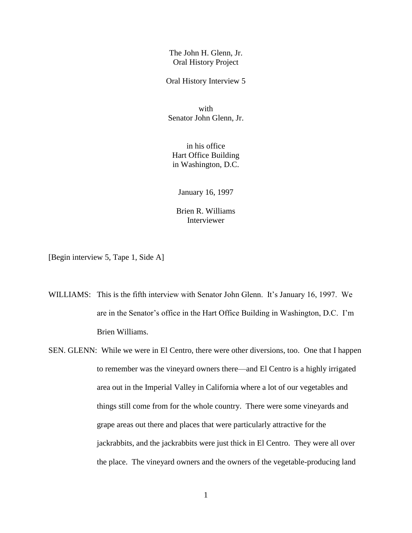The John H. Glenn, Jr. Oral History Project

Oral History Interview 5

with Senator John Glenn, Jr.

in his office Hart Office Building in Washington, D.C.

January 16, 1997

Brien R. Williams Interviewer

[Begin interview 5, Tape 1, Side A]

- WILLIAMS: This is the fifth interview with Senator John Glenn. It's January 16, 1997. We are in the Senator's office in the Hart Office Building in Washington, D.C. I'm Brien Williams.
- SEN. GLENN: While we were in El Centro, there were other diversions, too. One that I happen to remember was the vineyard owners there—and El Centro is a highly irrigated area out in the Imperial Valley in California where a lot of our vegetables and things still come from for the whole country. There were some vineyards and grape areas out there and places that were particularly attractive for the jackrabbits, and the jackrabbits were just thick in El Centro. They were all over the place. The vineyard owners and the owners of the vegetable-producing land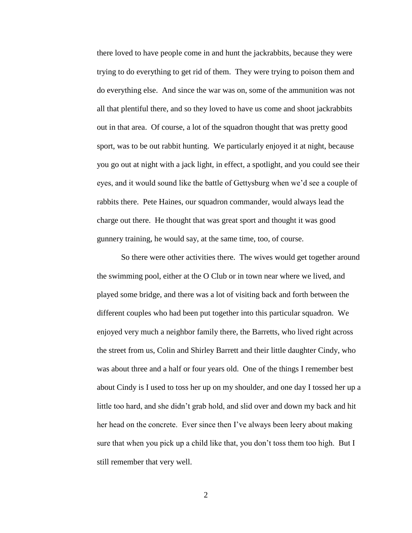there loved to have people come in and hunt the jackrabbits, because they were trying to do everything to get rid of them. They were trying to poison them and do everything else. And since the war was on, some of the ammunition was not all that plentiful there, and so they loved to have us come and shoot jackrabbits out in that area. Of course, a lot of the squadron thought that was pretty good sport, was to be out rabbit hunting. We particularly enjoyed it at night, because you go out at night with a jack light, in effect, a spotlight, and you could see their eyes, and it would sound like the battle of Gettysburg when we'd see a couple of rabbits there. Pete Haines, our squadron commander, would always lead the charge out there. He thought that was great sport and thought it was good gunnery training, he would say, at the same time, too, of course.

So there were other activities there. The wives would get together around the swimming pool, either at the O Club or in town near where we lived, and played some bridge, and there was a lot of visiting back and forth between the different couples who had been put together into this particular squadron. We enjoyed very much a neighbor family there, the Barretts, who lived right across the street from us, Colin and Shirley Barrett and their little daughter Cindy, who was about three and a half or four years old. One of the things I remember best about Cindy is I used to toss her up on my shoulder, and one day I tossed her up a little too hard, and she didn't grab hold, and slid over and down my back and hit her head on the concrete. Ever since then I've always been leery about making sure that when you pick up a child like that, you don't toss them too high. But I still remember that very well.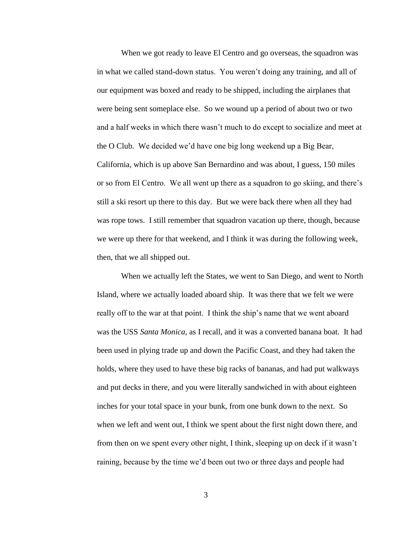When we got ready to leave El Centro and go overseas, the squadron was in what we called stand-down status. You weren't doing any training, and all of our equipment was boxed and ready to be shipped, including the airplanes that were being sent someplace else. So we wound up a period of about two or two and a half weeks in which there wasn't much to do except to socialize and meet at the O Club. We decided we'd have one big long weekend up a Big Bear, California, which is up above San Bernardino and was about, I guess, 150 miles or so from El Centro. We all went up there as a squadron to go skiing, and there's still a ski resort up there to this day. But we were back there when all they had was rope tows. I still remember that squadron vacation up there, though, because we were up there for that weekend, and I think it was during the following week, then, that we all shipped out.

When we actually left the States, we went to San Diego, and went to North Island, where we actually loaded aboard ship. It was there that we felt we were really off to the war at that point. I think the ship's name that we went aboard was the USS *Santa Monica*, as I recall, and it was a converted banana boat. It had been used in plying trade up and down the Pacific Coast, and they had taken the holds, where they used to have these big racks of bananas, and had put walkways and put decks in there, and you were literally sandwiched in with about eighteen inches for your total space in your bunk, from one bunk down to the next. So when we left and went out, I think we spent about the first night down there, and from then on we spent every other night, I think, sleeping up on deck if it wasn't raining, because by the time we'd been out two or three days and people had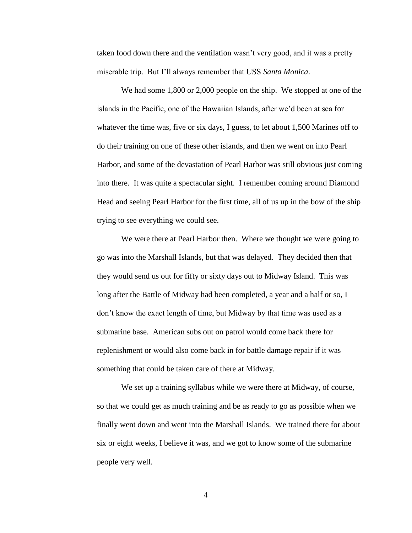taken food down there and the ventilation wasn't very good, and it was a pretty miserable trip. But I'll always remember that USS *Santa Monica*.

We had some 1,800 or 2,000 people on the ship. We stopped at one of the islands in the Pacific, one of the Hawaiian Islands, after we'd been at sea for whatever the time was, five or six days, I guess, to let about 1,500 Marines off to do their training on one of these other islands, and then we went on into Pearl Harbor, and some of the devastation of Pearl Harbor was still obvious just coming into there. It was quite a spectacular sight. I remember coming around Diamond Head and seeing Pearl Harbor for the first time, all of us up in the bow of the ship trying to see everything we could see.

We were there at Pearl Harbor then. Where we thought we were going to go was into the Marshall Islands, but that was delayed. They decided then that they would send us out for fifty or sixty days out to Midway Island. This was long after the Battle of Midway had been completed, a year and a half or so, I don't know the exact length of time, but Midway by that time was used as a submarine base. American subs out on patrol would come back there for replenishment or would also come back in for battle damage repair if it was something that could be taken care of there at Midway.

We set up a training syllabus while we were there at Midway, of course, so that we could get as much training and be as ready to go as possible when we finally went down and went into the Marshall Islands. We trained there for about six or eight weeks, I believe it was, and we got to know some of the submarine people very well.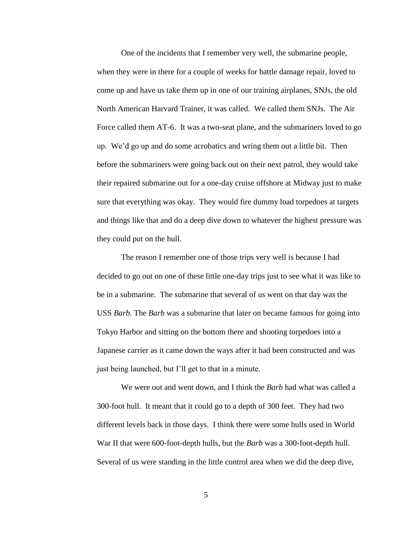One of the incidents that I remember very well, the submarine people, when they were in there for a couple of weeks for battle damage repair, loved to come up and have us take them up in one of our training airplanes, SNJs, the old North American Harvard Trainer, it was called. We called them SNJs. The Air Force called them AT-6. It was a two-seat plane, and the submariners loved to go up. We'd go up and do some acrobatics and wring them out a little bit. Then before the submariners were going back out on their next patrol, they would take their repaired submarine out for a one-day cruise offshore at Midway just to make sure that everything was okay. They would fire dummy load torpedoes at targets and things like that and do a deep dive down to whatever the highest pressure was they could put on the hull.

The reason I remember one of those trips very well is because I had decided to go out on one of these little one-day trips just to see what it was like to be in a submarine. The submarine that several of us went on that day was the USS *Barb*. The *Barb* was a submarine that later on became famous for going into Tokyo Harbor and sitting on the bottom there and shooting torpedoes into a Japanese carrier as it came down the ways after it had been constructed and was just being launched, but I'll get to that in a minute.

We were out and went down, and I think the *Barb* had what was called a 300-foot hull. It meant that it could go to a depth of 300 feet. They had two different levels back in those days. I think there were some hulls used in World War II that were 600-foot-depth hulls, but the *Barb* was a 300-foot-depth hull. Several of us were standing in the little control area when we did the deep dive,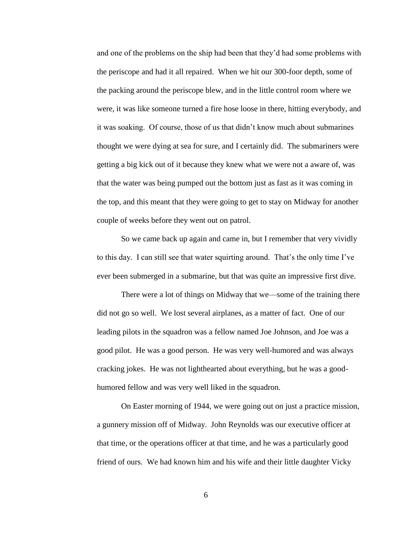and one of the problems on the ship had been that they'd had some problems with the periscope and had it all repaired. When we hit our 300-foor depth, some of the packing around the periscope blew, and in the little control room where we were, it was like someone turned a fire hose loose in there, hitting everybody, and it was soaking. Of course, those of us that didn't know much about submarines thought we were dying at sea for sure, and I certainly did. The submariners were getting a big kick out of it because they knew what we were not a aware of, was that the water was being pumped out the bottom just as fast as it was coming in the top, and this meant that they were going to get to stay on Midway for another couple of weeks before they went out on patrol.

So we came back up again and came in, but I remember that very vividly to this day. I can still see that water squirting around. That's the only time I've ever been submerged in a submarine, but that was quite an impressive first dive.

There were a lot of things on Midway that we—some of the training there did not go so well. We lost several airplanes, as a matter of fact. One of our leading pilots in the squadron was a fellow named Joe Johnson, and Joe was a good pilot. He was a good person. He was very well-humored and was always cracking jokes. He was not lighthearted about everything, but he was a goodhumored fellow and was very well liked in the squadron.

On Easter morning of 1944, we were going out on just a practice mission, a gunnery mission off of Midway. John Reynolds was our executive officer at that time, or the operations officer at that time, and he was a particularly good friend of ours. We had known him and his wife and their little daughter Vicky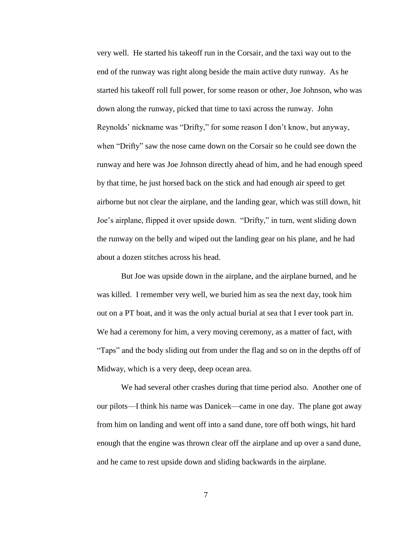very well. He started his takeoff run in the Corsair, and the taxi way out to the end of the runway was right along beside the main active duty runway. As he started his takeoff roll full power, for some reason or other, Joe Johnson, who was down along the runway, picked that time to taxi across the runway. John Reynolds' nickname was "Drifty," for some reason I don't know, but anyway, when "Drifty" saw the nose came down on the Corsair so he could see down the runway and here was Joe Johnson directly ahead of him, and he had enough speed by that time, he just horsed back on the stick and had enough air speed to get airborne but not clear the airplane, and the landing gear, which was still down, hit Joe's airplane, flipped it over upside down. "Drifty," in turn, went sliding down the runway on the belly and wiped out the landing gear on his plane, and he had about a dozen stitches across his head.

But Joe was upside down in the airplane, and the airplane burned, and he was killed. I remember very well, we buried him as sea the next day, took him out on a PT boat, and it was the only actual burial at sea that I ever took part in. We had a ceremony for him, a very moving ceremony, as a matter of fact, with "Taps" and the body sliding out from under the flag and so on in the depths off of Midway, which is a very deep, deep ocean area.

We had several other crashes during that time period also. Another one of our pilots—I think his name was Danicek—came in one day. The plane got away from him on landing and went off into a sand dune, tore off both wings, hit hard enough that the engine was thrown clear off the airplane and up over a sand dune, and he came to rest upside down and sliding backwards in the airplane.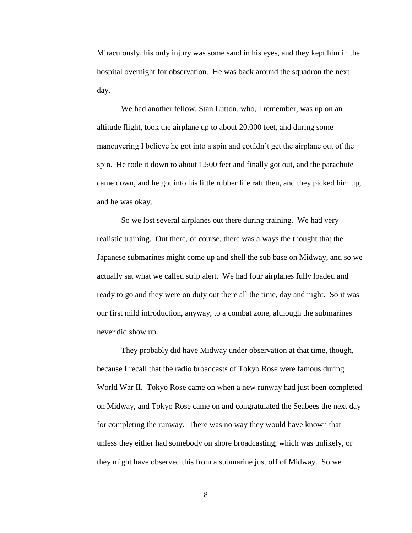Miraculously, his only injury was some sand in his eyes, and they kept him in the hospital overnight for observation. He was back around the squadron the next day.

We had another fellow, Stan Lutton, who, I remember, was up on an altitude flight, took the airplane up to about 20,000 feet, and during some maneuvering I believe he got into a spin and couldn't get the airplane out of the spin. He rode it down to about 1,500 feet and finally got out, and the parachute came down, and he got into his little rubber life raft then, and they picked him up, and he was okay.

So we lost several airplanes out there during training. We had very realistic training. Out there, of course, there was always the thought that the Japanese submarines might come up and shell the sub base on Midway, and so we actually sat what we called strip alert. We had four airplanes fully loaded and ready to go and they were on duty out there all the time, day and night. So it was our first mild introduction, anyway, to a combat zone, although the submarines never did show up.

They probably did have Midway under observation at that time, though, because I recall that the radio broadcasts of Tokyo Rose were famous during World War II. Tokyo Rose came on when a new runway had just been completed on Midway, and Tokyo Rose came on and congratulated the Seabees the next day for completing the runway. There was no way they would have known that unless they either had somebody on shore broadcasting, which was unlikely, or they might have observed this from a submarine just off of Midway. So we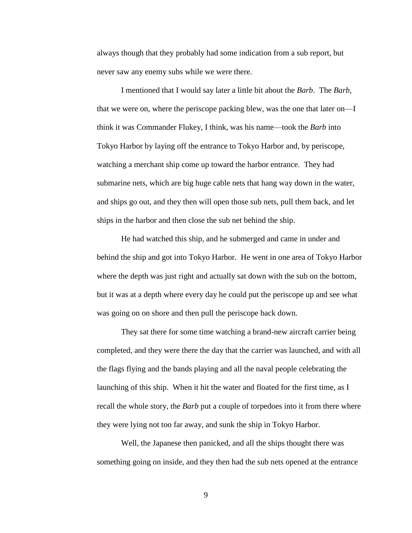always though that they probably had some indication from a sub report, but never saw any enemy subs while we were there.

I mentioned that I would say later a little bit about the *Barb*. The *Barb*, that we were on, where the periscope packing blew, was the one that later on—I think it was Commander Flukey, I think, was his name—took the *Barb* into Tokyo Harbor by laying off the entrance to Tokyo Harbor and, by periscope, watching a merchant ship come up toward the harbor entrance. They had submarine nets, which are big huge cable nets that hang way down in the water, and ships go out, and they then will open those sub nets, pull them back, and let ships in the harbor and then close the sub net behind the ship.

He had watched this ship, and he submerged and came in under and behind the ship and got into Tokyo Harbor. He went in one area of Tokyo Harbor where the depth was just right and actually sat down with the sub on the bottom, but it was at a depth where every day he could put the periscope up and see what was going on on shore and then pull the periscope back down.

They sat there for some time watching a brand-new aircraft carrier being completed, and they were there the day that the carrier was launched, and with all the flags flying and the bands playing and all the naval people celebrating the launching of this ship. When it hit the water and floated for the first time, as I recall the whole story, the *Barb* put a couple of torpedoes into it from there where they were lying not too far away, and sunk the ship in Tokyo Harbor.

Well, the Japanese then panicked, and all the ships thought there was something going on inside, and they then had the sub nets opened at the entrance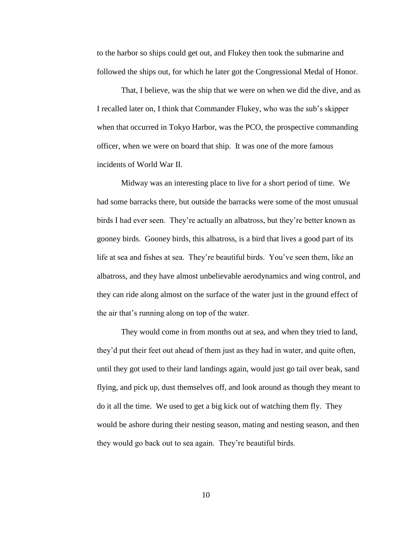to the harbor so ships could get out, and Flukey then took the submarine and followed the ships out, for which he later got the Congressional Medal of Honor.

That, I believe, was the ship that we were on when we did the dive, and as I recalled later on, I think that Commander Flukey, who was the sub's skipper when that occurred in Tokyo Harbor, was the PCO, the prospective commanding officer, when we were on board that ship. It was one of the more famous incidents of World War II.

Midway was an interesting place to live for a short period of time. We had some barracks there, but outside the barracks were some of the most unusual birds I had ever seen. They're actually an albatross, but they're better known as gooney birds. Gooney birds, this albatross, is a bird that lives a good part of its life at sea and fishes at sea. They're beautiful birds. You've seen them, like an albatross, and they have almost unbelievable aerodynamics and wing control, and they can ride along almost on the surface of the water just in the ground effect of the air that's running along on top of the water.

They would come in from months out at sea, and when they tried to land, they'd put their feet out ahead of them just as they had in water, and quite often, until they got used to their land landings again, would just go tail over beak, sand flying, and pick up, dust themselves off, and look around as though they meant to do it all the time. We used to get a big kick out of watching them fly. They would be ashore during their nesting season, mating and nesting season, and then they would go back out to sea again. They're beautiful birds.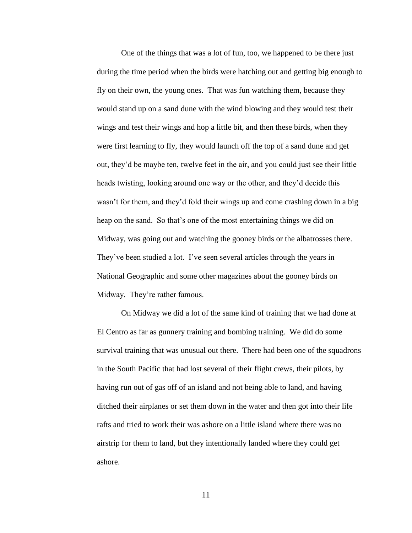One of the things that was a lot of fun, too, we happened to be there just during the time period when the birds were hatching out and getting big enough to fly on their own, the young ones. That was fun watching them, because they would stand up on a sand dune with the wind blowing and they would test their wings and test their wings and hop a little bit, and then these birds, when they were first learning to fly, they would launch off the top of a sand dune and get out, they'd be maybe ten, twelve feet in the air, and you could just see their little heads twisting, looking around one way or the other, and they'd decide this wasn't for them, and they'd fold their wings up and come crashing down in a big heap on the sand. So that's one of the most entertaining things we did on Midway, was going out and watching the gooney birds or the albatrosses there. They've been studied a lot. I've seen several articles through the years in National Geographic and some other magazines about the gooney birds on Midway. They're rather famous.

On Midway we did a lot of the same kind of training that we had done at El Centro as far as gunnery training and bombing training. We did do some survival training that was unusual out there. There had been one of the squadrons in the South Pacific that had lost several of their flight crews, their pilots, by having run out of gas off of an island and not being able to land, and having ditched their airplanes or set them down in the water and then got into their life rafts and tried to work their was ashore on a little island where there was no airstrip for them to land, but they intentionally landed where they could get ashore.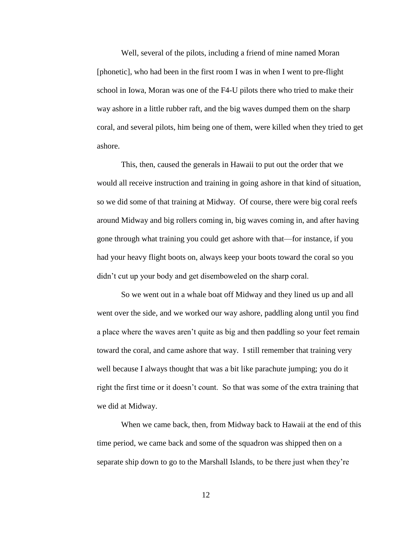Well, several of the pilots, including a friend of mine named Moran [phonetic], who had been in the first room I was in when I went to pre-flight school in Iowa, Moran was one of the F4-U pilots there who tried to make their way ashore in a little rubber raft, and the big waves dumped them on the sharp coral, and several pilots, him being one of them, were killed when they tried to get ashore.

This, then, caused the generals in Hawaii to put out the order that we would all receive instruction and training in going ashore in that kind of situation, so we did some of that training at Midway. Of course, there were big coral reefs around Midway and big rollers coming in, big waves coming in, and after having gone through what training you could get ashore with that—for instance, if you had your heavy flight boots on, always keep your boots toward the coral so you didn't cut up your body and get disemboweled on the sharp coral.

So we went out in a whale boat off Midway and they lined us up and all went over the side, and we worked our way ashore, paddling along until you find a place where the waves aren't quite as big and then paddling so your feet remain toward the coral, and came ashore that way. I still remember that training very well because I always thought that was a bit like parachute jumping; you do it right the first time or it doesn't count. So that was some of the extra training that we did at Midway.

When we came back, then, from Midway back to Hawaii at the end of this time period, we came back and some of the squadron was shipped then on a separate ship down to go to the Marshall Islands, to be there just when they're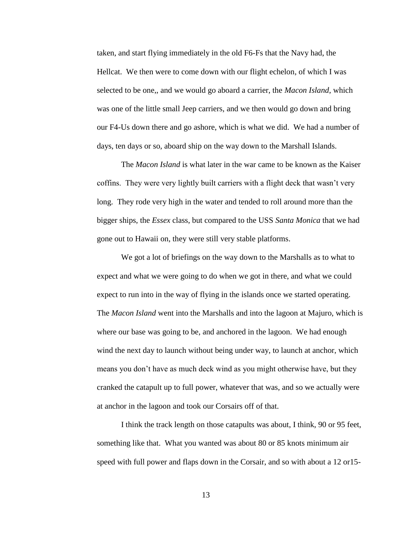taken, and start flying immediately in the old F6-Fs that the Navy had, the Hellcat. We then were to come down with our flight echelon, of which I was selected to be one,, and we would go aboard a carrier, the *Macon Island*, which was one of the little small Jeep carriers, and we then would go down and bring our F4-Us down there and go ashore, which is what we did. We had a number of days, ten days or so, aboard ship on the way down to the Marshall Islands.

The *Macon Island* is what later in the war came to be known as the Kaiser coffins. They were very lightly built carriers with a flight deck that wasn't very long. They rode very high in the water and tended to roll around more than the bigger ships, the *Essex* class, but compared to the USS *Santa Monica* that we had gone out to Hawaii on, they were still very stable platforms.

We got a lot of briefings on the way down to the Marshalls as to what to expect and what we were going to do when we got in there, and what we could expect to run into in the way of flying in the islands once we started operating. The *Macon Island* went into the Marshalls and into the lagoon at Majuro, which is where our base was going to be, and anchored in the lagoon. We had enough wind the next day to launch without being under way, to launch at anchor, which means you don't have as much deck wind as you might otherwise have, but they cranked the catapult up to full power, whatever that was, and so we actually were at anchor in the lagoon and took our Corsairs off of that.

I think the track length on those catapults was about, I think, 90 or 95 feet, something like that. What you wanted was about 80 or 85 knots minimum air speed with full power and flaps down in the Corsair, and so with about a 12 or15-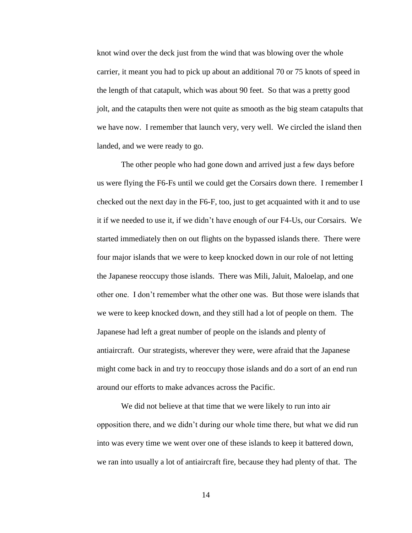knot wind over the deck just from the wind that was blowing over the whole carrier, it meant you had to pick up about an additional 70 or 75 knots of speed in the length of that catapult, which was about 90 feet. So that was a pretty good jolt, and the catapults then were not quite as smooth as the big steam catapults that we have now. I remember that launch very, very well. We circled the island then landed, and we were ready to go.

The other people who had gone down and arrived just a few days before us were flying the F6-Fs until we could get the Corsairs down there. I remember I checked out the next day in the F6-F, too, just to get acquainted with it and to use it if we needed to use it, if we didn't have enough of our F4-Us, our Corsairs. We started immediately then on out flights on the bypassed islands there. There were four major islands that we were to keep knocked down in our role of not letting the Japanese reoccupy those islands. There was Mili, Jaluit, Maloelap, and one other one. I don't remember what the other one was. But those were islands that we were to keep knocked down, and they still had a lot of people on them. The Japanese had left a great number of people on the islands and plenty of antiaircraft. Our strategists, wherever they were, were afraid that the Japanese might come back in and try to reoccupy those islands and do a sort of an end run around our efforts to make advances across the Pacific.

We did not believe at that time that we were likely to run into air opposition there, and we didn't during our whole time there, but what we did run into was every time we went over one of these islands to keep it battered down, we ran into usually a lot of antiaircraft fire, because they had plenty of that. The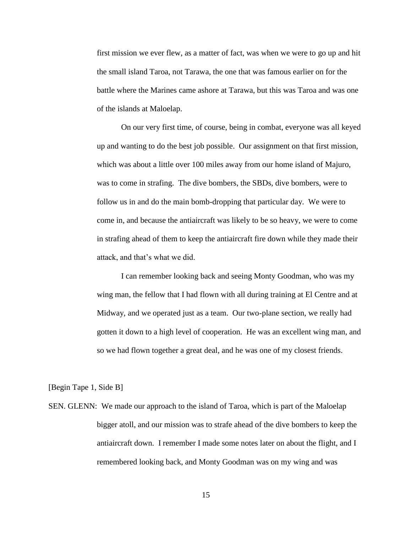first mission we ever flew, as a matter of fact, was when we were to go up and hit the small island Taroa, not Tarawa, the one that was famous earlier on for the battle where the Marines came ashore at Tarawa, but this was Taroa and was one of the islands at Maloelap.

On our very first time, of course, being in combat, everyone was all keyed up and wanting to do the best job possible. Our assignment on that first mission, which was about a little over 100 miles away from our home island of Majuro, was to come in strafing. The dive bombers, the SBDs, dive bombers, were to follow us in and do the main bomb-dropping that particular day. We were to come in, and because the antiaircraft was likely to be so heavy, we were to come in strafing ahead of them to keep the antiaircraft fire down while they made their attack, and that's what we did.

I can remember looking back and seeing Monty Goodman, who was my wing man, the fellow that I had flown with all during training at El Centre and at Midway, and we operated just as a team. Our two-plane section, we really had gotten it down to a high level of cooperation. He was an excellent wing man, and so we had flown together a great deal, and he was one of my closest friends.

[Begin Tape 1, Side B]

SEN. GLENN: We made our approach to the island of Taroa, which is part of the Maloelap bigger atoll, and our mission was to strafe ahead of the dive bombers to keep the antiaircraft down. I remember I made some notes later on about the flight, and I remembered looking back, and Monty Goodman was on my wing and was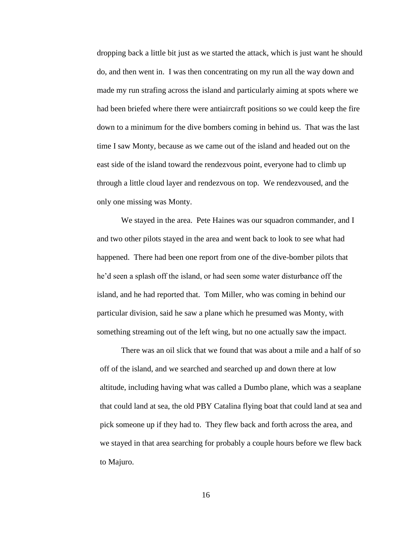dropping back a little bit just as we started the attack, which is just want he should do, and then went in. I was then concentrating on my run all the way down and made my run strafing across the island and particularly aiming at spots where we had been briefed where there were antiaircraft positions so we could keep the fire down to a minimum for the dive bombers coming in behind us. That was the last time I saw Monty, because as we came out of the island and headed out on the east side of the island toward the rendezvous point, everyone had to climb up through a little cloud layer and rendezvous on top. We rendezvoused, and the only one missing was Monty.

We stayed in the area. Pete Haines was our squadron commander, and I and two other pilots stayed in the area and went back to look to see what had happened. There had been one report from one of the dive-bomber pilots that he'd seen a splash off the island, or had seen some water disturbance off the island, and he had reported that. Tom Miller, who was coming in behind our particular division, said he saw a plane which he presumed was Monty, with something streaming out of the left wing, but no one actually saw the impact.

There was an oil slick that we found that was about a mile and a half of so off of the island, and we searched and searched up and down there at low altitude, including having what was called a Dumbo plane, which was a seaplane that could land at sea, the old PBY Catalina flying boat that could land at sea and pick someone up if they had to. They flew back and forth across the area, and we stayed in that area searching for probably a couple hours before we flew back to Majuro.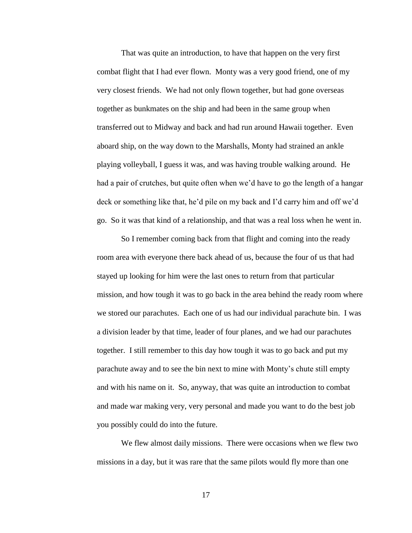That was quite an introduction, to have that happen on the very first combat flight that I had ever flown. Monty was a very good friend, one of my very closest friends. We had not only flown together, but had gone overseas together as bunkmates on the ship and had been in the same group when transferred out to Midway and back and had run around Hawaii together. Even aboard ship, on the way down to the Marshalls, Monty had strained an ankle playing volleyball, I guess it was, and was having trouble walking around. He had a pair of crutches, but quite often when we'd have to go the length of a hangar deck or something like that, he'd pile on my back and I'd carry him and off we'd go. So it was that kind of a relationship, and that was a real loss when he went in.

So I remember coming back from that flight and coming into the ready room area with everyone there back ahead of us, because the four of us that had stayed up looking for him were the last ones to return from that particular mission, and how tough it was to go back in the area behind the ready room where we stored our parachutes. Each one of us had our individual parachute bin. I was a division leader by that time, leader of four planes, and we had our parachutes together. I still remember to this day how tough it was to go back and put my parachute away and to see the bin next to mine with Monty's chute still empty and with his name on it. So, anyway, that was quite an introduction to combat and made war making very, very personal and made you want to do the best job you possibly could do into the future.

We flew almost daily missions. There were occasions when we flew two missions in a day, but it was rare that the same pilots would fly more than one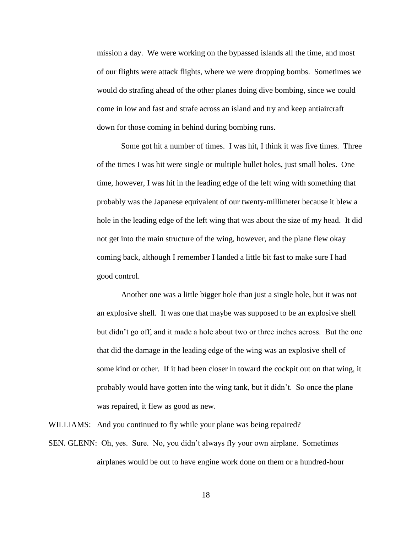mission a day. We were working on the bypassed islands all the time, and most of our flights were attack flights, where we were dropping bombs. Sometimes we would do strafing ahead of the other planes doing dive bombing, since we could come in low and fast and strafe across an island and try and keep antiaircraft down for those coming in behind during bombing runs.

Some got hit a number of times. I was hit, I think it was five times. Three of the times I was hit were single or multiple bullet holes, just small holes. One time, however, I was hit in the leading edge of the left wing with something that probably was the Japanese equivalent of our twenty-millimeter because it blew a hole in the leading edge of the left wing that was about the size of my head. It did not get into the main structure of the wing, however, and the plane flew okay coming back, although I remember I landed a little bit fast to make sure I had good control.

Another one was a little bigger hole than just a single hole, but it was not an explosive shell. It was one that maybe was supposed to be an explosive shell but didn't go off, and it made a hole about two or three inches across. But the one that did the damage in the leading edge of the wing was an explosive shell of some kind or other. If it had been closer in toward the cockpit out on that wing, it probably would have gotten into the wing tank, but it didn't. So once the plane was repaired, it flew as good as new.

WILLIAMS: And you continued to fly while your plane was being repaired?

SEN. GLENN: Oh, yes. Sure. No, you didn't always fly your own airplane. Sometimes airplanes would be out to have engine work done on them or a hundred-hour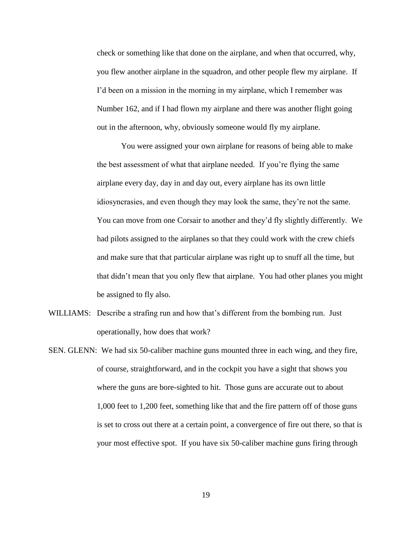check or something like that done on the airplane, and when that occurred, why, you flew another airplane in the squadron, and other people flew my airplane. If I'd been on a mission in the morning in my airplane, which I remember was Number 162, and if I had flown my airplane and there was another flight going out in the afternoon, why, obviously someone would fly my airplane.

You were assigned your own airplane for reasons of being able to make the best assessment of what that airplane needed. If you're flying the same airplane every day, day in and day out, every airplane has its own little idiosyncrasies, and even though they may look the same, they're not the same. You can move from one Corsair to another and they'd fly slightly differently. We had pilots assigned to the airplanes so that they could work with the crew chiefs and make sure that that particular airplane was right up to snuff all the time, but that didn't mean that you only flew that airplane. You had other planes you might be assigned to fly also.

- WILLIAMS: Describe a strafing run and how that's different from the bombing run. Just operationally, how does that work?
- SEN. GLENN: We had six 50-caliber machine guns mounted three in each wing, and they fire, of course, straightforward, and in the cockpit you have a sight that shows you where the guns are bore-sighted to hit. Those guns are accurate out to about 1,000 feet to 1,200 feet, something like that and the fire pattern off of those guns is set to cross out there at a certain point, a convergence of fire out there, so that is your most effective spot. If you have six 50-caliber machine guns firing through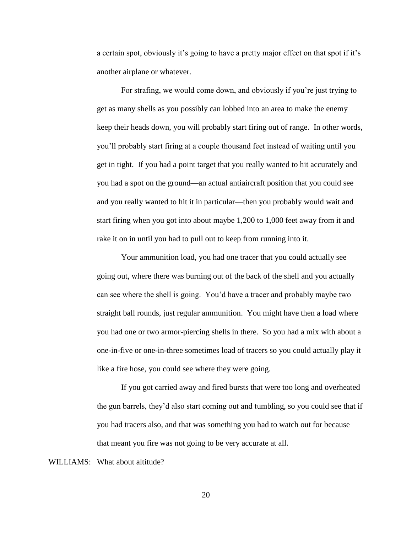a certain spot, obviously it's going to have a pretty major effect on that spot if it's another airplane or whatever.

For strafing, we would come down, and obviously if you're just trying to get as many shells as you possibly can lobbed into an area to make the enemy keep their heads down, you will probably start firing out of range. In other words, you'll probably start firing at a couple thousand feet instead of waiting until you get in tight. If you had a point target that you really wanted to hit accurately and you had a spot on the ground—an actual antiaircraft position that you could see and you really wanted to hit it in particular—then you probably would wait and start firing when you got into about maybe 1,200 to 1,000 feet away from it and rake it on in until you had to pull out to keep from running into it.

Your ammunition load, you had one tracer that you could actually see going out, where there was burning out of the back of the shell and you actually can see where the shell is going. You'd have a tracer and probably maybe two straight ball rounds, just regular ammunition. You might have then a load where you had one or two armor-piercing shells in there. So you had a mix with about a one-in-five or one-in-three sometimes load of tracers so you could actually play it like a fire hose, you could see where they were going.

If you got carried away and fired bursts that were too long and overheated the gun barrels, they'd also start coming out and tumbling, so you could see that if you had tracers also, and that was something you had to watch out for because that meant you fire was not going to be very accurate at all.

WILLIAMS: What about altitude?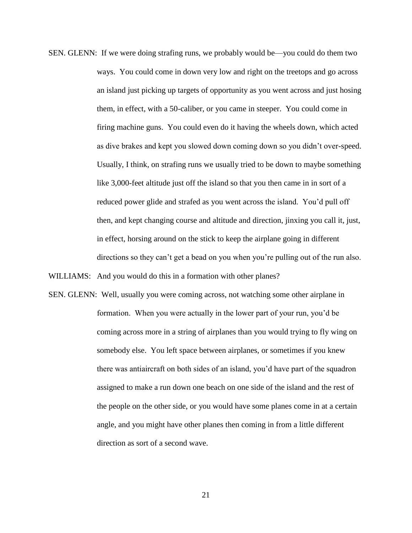SEN. GLENN: If we were doing strafing runs, we probably would be—you could do them two ways. You could come in down very low and right on the treetops and go across an island just picking up targets of opportunity as you went across and just hosing them, in effect, with a 50-caliber, or you came in steeper. You could come in firing machine guns. You could even do it having the wheels down, which acted as dive brakes and kept you slowed down coming down so you didn't over-speed. Usually, I think, on strafing runs we usually tried to be down to maybe something like 3,000-feet altitude just off the island so that you then came in in sort of a reduced power glide and strafed as you went across the island. You'd pull off then, and kept changing course and altitude and direction, jinxing you call it, just, in effect, horsing around on the stick to keep the airplane going in different directions so they can't get a bead on you when you're pulling out of the run also.

WILLIAMS: And you would do this in a formation with other planes?

SEN. GLENN: Well, usually you were coming across, not watching some other airplane in formation. When you were actually in the lower part of your run, you'd be coming across more in a string of airplanes than you would trying to fly wing on somebody else. You left space between airplanes, or sometimes if you knew there was antiaircraft on both sides of an island, you'd have part of the squadron assigned to make a run down one beach on one side of the island and the rest of the people on the other side, or you would have some planes come in at a certain angle, and you might have other planes then coming in from a little different direction as sort of a second wave.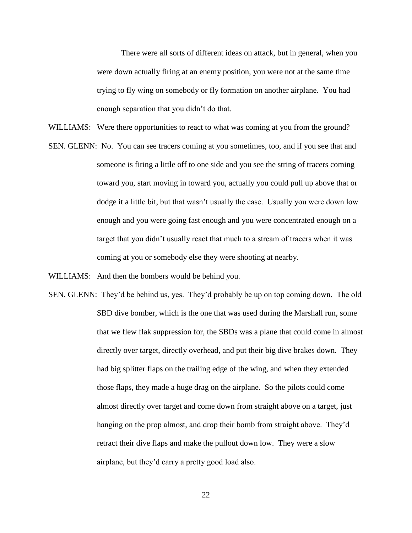There were all sorts of different ideas on attack, but in general, when you were down actually firing at an enemy position, you were not at the same time trying to fly wing on somebody or fly formation on another airplane. You had enough separation that you didn't do that.

- WILLIAMS: Were there opportunities to react to what was coming at you from the ground?
- SEN. GLENN: No. You can see tracers coming at you sometimes, too, and if you see that and someone is firing a little off to one side and you see the string of tracers coming toward you, start moving in toward you, actually you could pull up above that or dodge it a little bit, but that wasn't usually the case. Usually you were down low enough and you were going fast enough and you were concentrated enough on a target that you didn't usually react that much to a stream of tracers when it was coming at you or somebody else they were shooting at nearby.

WILLIAMS: And then the bombers would be behind you.

SEN. GLENN: They'd be behind us, yes. They'd probably be up on top coming down. The old SBD dive bomber, which is the one that was used during the Marshall run, some that we flew flak suppression for, the SBDs was a plane that could come in almost directly over target, directly overhead, and put their big dive brakes down. They had big splitter flaps on the trailing edge of the wing, and when they extended those flaps, they made a huge drag on the airplane. So the pilots could come almost directly over target and come down from straight above on a target, just hanging on the prop almost, and drop their bomb from straight above. They'd retract their dive flaps and make the pullout down low. They were a slow airplane, but they'd carry a pretty good load also.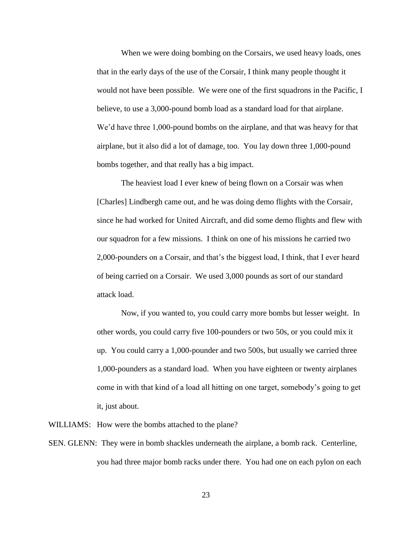When we were doing bombing on the Corsairs, we used heavy loads, ones that in the early days of the use of the Corsair, I think many people thought it would not have been possible. We were one of the first squadrons in the Pacific, I believe, to use a 3,000-pound bomb load as a standard load for that airplane. We'd have three 1,000-pound bombs on the airplane, and that was heavy for that airplane, but it also did a lot of damage, too. You lay down three 1,000-pound bombs together, and that really has a big impact.

The heaviest load I ever knew of being flown on a Corsair was when [Charles] Lindbergh came out, and he was doing demo flights with the Corsair, since he had worked for United Aircraft, and did some demo flights and flew with our squadron for a few missions. I think on one of his missions he carried two 2,000-pounders on a Corsair, and that's the biggest load, I think, that I ever heard of being carried on a Corsair. We used 3,000 pounds as sort of our standard attack load.

Now, if you wanted to, you could carry more bombs but lesser weight. In other words, you could carry five 100-pounders or two 50s, or you could mix it up. You could carry a 1,000-pounder and two 500s, but usually we carried three 1,000-pounders as a standard load. When you have eighteen or twenty airplanes come in with that kind of a load all hitting on one target, somebody's going to get it, just about.

WILLIAMS: How were the bombs attached to the plane?

SEN. GLENN: They were in bomb shackles underneath the airplane, a bomb rack. Centerline, you had three major bomb racks under there. You had one on each pylon on each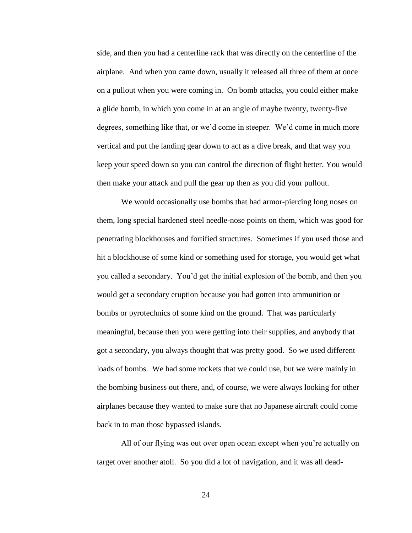side, and then you had a centerline rack that was directly on the centerline of the airplane. And when you came down, usually it released all three of them at once on a pullout when you were coming in. On bomb attacks, you could either make a glide bomb, in which you come in at an angle of maybe twenty, twenty-five degrees, something like that, or we'd come in steeper. We'd come in much more vertical and put the landing gear down to act as a dive break, and that way you keep your speed down so you can control the direction of flight better. You would then make your attack and pull the gear up then as you did your pullout.

We would occasionally use bombs that had armor-piercing long noses on them, long special hardened steel needle-nose points on them, which was good for penetrating blockhouses and fortified structures. Sometimes if you used those and hit a blockhouse of some kind or something used for storage, you would get what you called a secondary. You'd get the initial explosion of the bomb, and then you would get a secondary eruption because you had gotten into ammunition or bombs or pyrotechnics of some kind on the ground. That was particularly meaningful, because then you were getting into their supplies, and anybody that got a secondary, you always thought that was pretty good. So we used different loads of bombs. We had some rockets that we could use, but we were mainly in the bombing business out there, and, of course, we were always looking for other airplanes because they wanted to make sure that no Japanese aircraft could come back in to man those bypassed islands.

All of our flying was out over open ocean except when you're actually on target over another atoll. So you did a lot of navigation, and it was all dead-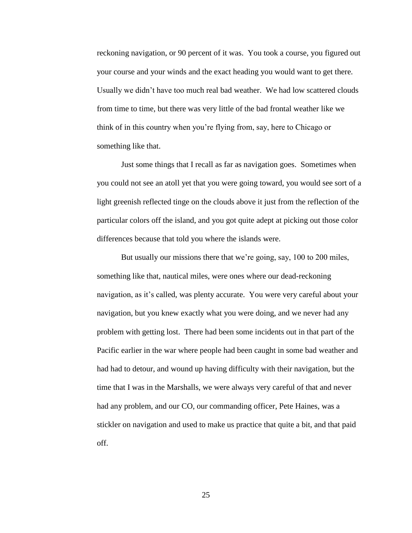reckoning navigation, or 90 percent of it was. You took a course, you figured out your course and your winds and the exact heading you would want to get there. Usually we didn't have too much real bad weather. We had low scattered clouds from time to time, but there was very little of the bad frontal weather like we think of in this country when you're flying from, say, here to Chicago or something like that.

Just some things that I recall as far as navigation goes. Sometimes when you could not see an atoll yet that you were going toward, you would see sort of a light greenish reflected tinge on the clouds above it just from the reflection of the particular colors off the island, and you got quite adept at picking out those color differences because that told you where the islands were.

But usually our missions there that we're going, say, 100 to 200 miles, something like that, nautical miles, were ones where our dead-reckoning navigation, as it's called, was plenty accurate. You were very careful about your navigation, but you knew exactly what you were doing, and we never had any problem with getting lost. There had been some incidents out in that part of the Pacific earlier in the war where people had been caught in some bad weather and had had to detour, and wound up having difficulty with their navigation, but the time that I was in the Marshalls, we were always very careful of that and never had any problem, and our CO, our commanding officer, Pete Haines, was a stickler on navigation and used to make us practice that quite a bit, and that paid off.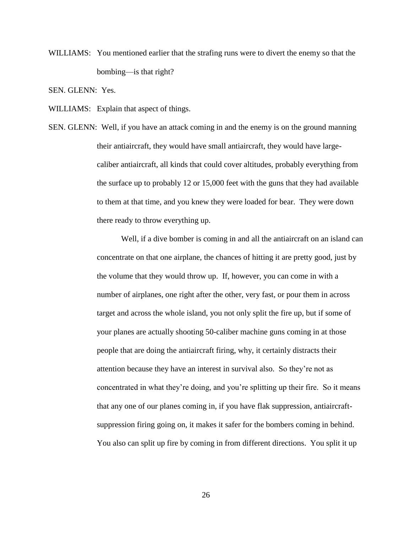WILLIAMS: You mentioned earlier that the strafing runs were to divert the enemy so that the bombing—is that right?

SEN. GLENN: Yes.

WILLIAMS: Explain that aspect of things.

SEN. GLENN: Well, if you have an attack coming in and the enemy is on the ground manning their antiaircraft, they would have small antiaircraft, they would have largecaliber antiaircraft, all kinds that could cover altitudes, probably everything from the surface up to probably 12 or 15,000 feet with the guns that they had available to them at that time, and you knew they were loaded for bear. They were down there ready to throw everything up.

> Well, if a dive bomber is coming in and all the antiaircraft on an island can concentrate on that one airplane, the chances of hitting it are pretty good, just by the volume that they would throw up. If, however, you can come in with a number of airplanes, one right after the other, very fast, or pour them in across target and across the whole island, you not only split the fire up, but if some of your planes are actually shooting 50-caliber machine guns coming in at those people that are doing the antiaircraft firing, why, it certainly distracts their attention because they have an interest in survival also. So they're not as concentrated in what they're doing, and you're splitting up their fire. So it means that any one of our planes coming in, if you have flak suppression, antiaircraftsuppression firing going on, it makes it safer for the bombers coming in behind. You also can split up fire by coming in from different directions. You split it up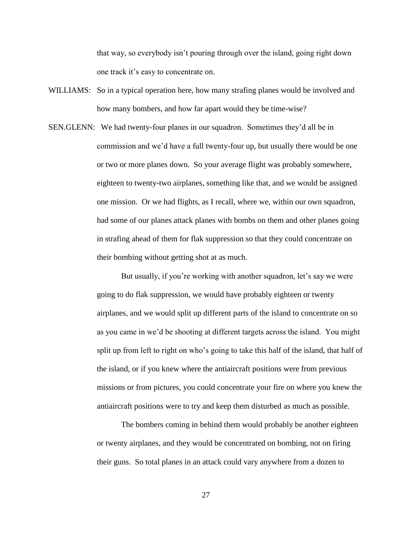that way, so everybody isn't pouring through over the island, going right down one track it's easy to concentrate on.

- WILLIAMS: So in a typical operation here, how many strafing planes would be involved and how many bombers, and how far apart would they be time-wise?
- SEN.GLENN: We had twenty-four planes in our squadron. Sometimes they'd all be in commission and we'd have a full twenty-four up, but usually there would be one or two or more planes down. So your average flight was probably somewhere, eighteen to twenty-two airplanes, something like that, and we would be assigned one mission. Or we had flights, as I recall, where we, within our own squadron, had some of our planes attack planes with bombs on them and other planes going in strafing ahead of them for flak suppression so that they could concentrate on their bombing without getting shot at as much.

But usually, if you're working with another squadron, let's say we were going to do flak suppression, we would have probably eighteen or twenty airplanes, and we would split up different parts of the island to concentrate on so as you came in we'd be shooting at different targets across the island. You might split up from left to right on who's going to take this half of the island, that half of the island, or if you knew where the antiaircraft positions were from previous missions or from pictures, you could concentrate your fire on where you knew the antiaircraft positions were to try and keep them disturbed as much as possible.

The bombers coming in behind them would probably be another eighteen or twenty airplanes, and they would be concentrated on bombing, not on firing their guns. So total planes in an attack could vary anywhere from a dozen to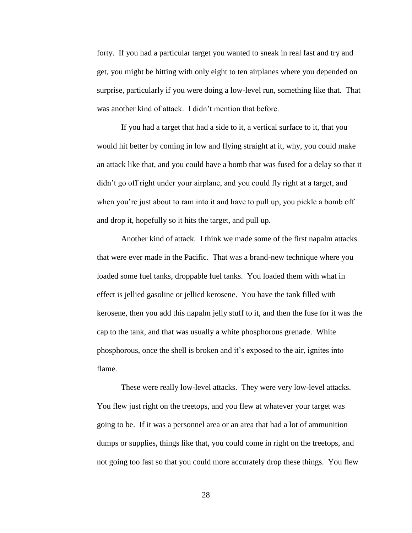forty. If you had a particular target you wanted to sneak in real fast and try and get, you might be hitting with only eight to ten airplanes where you depended on surprise, particularly if you were doing a low-level run, something like that. That was another kind of attack. I didn't mention that before.

If you had a target that had a side to it, a vertical surface to it, that you would hit better by coming in low and flying straight at it, why, you could make an attack like that, and you could have a bomb that was fused for a delay so that it didn't go off right under your airplane, and you could fly right at a target, and when you're just about to ram into it and have to pull up, you pickle a bomb off and drop it, hopefully so it hits the target, and pull up.

Another kind of attack. I think we made some of the first napalm attacks that were ever made in the Pacific. That was a brand-new technique where you loaded some fuel tanks, droppable fuel tanks. You loaded them with what in effect is jellied gasoline or jellied kerosene. You have the tank filled with kerosene, then you add this napalm jelly stuff to it, and then the fuse for it was the cap to the tank, and that was usually a white phosphorous grenade. White phosphorous, once the shell is broken and it's exposed to the air, ignites into flame.

These were really low-level attacks. They were very low-level attacks. You flew just right on the treetops, and you flew at whatever your target was going to be. If it was a personnel area or an area that had a lot of ammunition dumps or supplies, things like that, you could come in right on the treetops, and not going too fast so that you could more accurately drop these things. You flew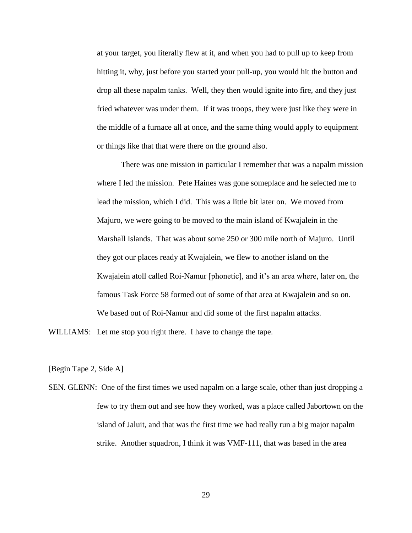at your target, you literally flew at it, and when you had to pull up to keep from hitting it, why, just before you started your pull-up, you would hit the button and drop all these napalm tanks. Well, they then would ignite into fire, and they just fried whatever was under them. If it was troops, they were just like they were in the middle of a furnace all at once, and the same thing would apply to equipment or things like that that were there on the ground also.

There was one mission in particular I remember that was a napalm mission where I led the mission. Pete Haines was gone someplace and he selected me to lead the mission, which I did. This was a little bit later on. We moved from Majuro, we were going to be moved to the main island of Kwajalein in the Marshall Islands. That was about some 250 or 300 mile north of Majuro. Until they got our places ready at Kwajalein, we flew to another island on the Kwajalein atoll called Roi-Namur [phonetic], and it's an area where, later on, the famous Task Force 58 formed out of some of that area at Kwajalein and so on. We based out of Roi-Namur and did some of the first napalm attacks.

WILLIAMS: Let me stop you right there. I have to change the tape.

[Begin Tape 2, Side A]

SEN. GLENN: One of the first times we used napalm on a large scale, other than just dropping a few to try them out and see how they worked, was a place called Jabortown on the island of Jaluit, and that was the first time we had really run a big major napalm strike. Another squadron, I think it was VMF-111, that was based in the area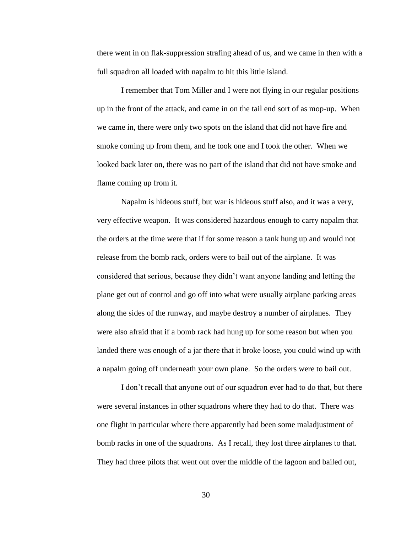there went in on flak-suppression strafing ahead of us, and we came in then with a full squadron all loaded with napalm to hit this little island.

I remember that Tom Miller and I were not flying in our regular positions up in the front of the attack, and came in on the tail end sort of as mop-up. When we came in, there were only two spots on the island that did not have fire and smoke coming up from them, and he took one and I took the other. When we looked back later on, there was no part of the island that did not have smoke and flame coming up from it.

Napalm is hideous stuff, but war is hideous stuff also, and it was a very, very effective weapon. It was considered hazardous enough to carry napalm that the orders at the time were that if for some reason a tank hung up and would not release from the bomb rack, orders were to bail out of the airplane. It was considered that serious, because they didn't want anyone landing and letting the plane get out of control and go off into what were usually airplane parking areas along the sides of the runway, and maybe destroy a number of airplanes. They were also afraid that if a bomb rack had hung up for some reason but when you landed there was enough of a jar there that it broke loose, you could wind up with a napalm going off underneath your own plane. So the orders were to bail out.

I don't recall that anyone out of our squadron ever had to do that, but there were several instances in other squadrons where they had to do that. There was one flight in particular where there apparently had been some maladjustment of bomb racks in one of the squadrons. As I recall, they lost three airplanes to that. They had three pilots that went out over the middle of the lagoon and bailed out,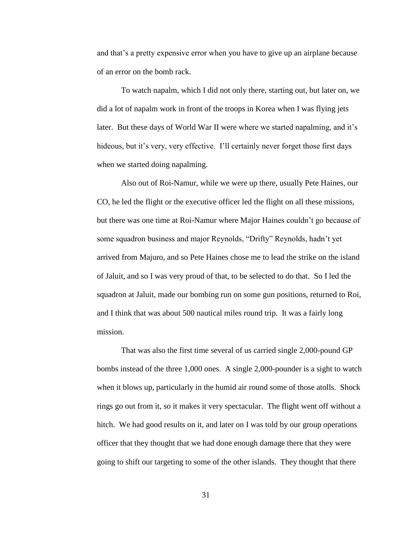and that's a pretty expensive error when you have to give up an airplane because of an error on the bomb rack.

To watch napalm, which I did not only there, starting out, but later on, we did a lot of napalm work in front of the troops in Korea when I was flying jets later. But these days of World War II were where we started napalming, and it's hideous, but it's very, very effective. I'll certainly never forget those first days when we started doing napalming.

Also out of Roi-Namur, while we were up there, usually Pete Haines, our CO, he led the flight or the executive officer led the flight on all these missions, but there was one time at Roi-Namur where Major Haines couldn't go because of some squadron business and major Reynolds, "Drifty" Reynolds, hadn't yet arrived from Majuro, and so Pete Haines chose me to lead the strike on the island of Jaluit, and so I was very proud of that, to be selected to do that. So I led the squadron at Jaluit, made our bombing run on some gun positions, returned to Roi, and I think that was about 500 nautical miles round trip. It was a fairly long mission.

That was also the first time several of us carried single 2,000-pound GP bombs instead of the three 1,000 ones. A single 2,000-pounder is a sight to watch when it blows up, particularly in the humid air round some of those atolls. Shock rings go out from it, so it makes it very spectacular. The flight went off without a hitch. We had good results on it, and later on I was told by our group operations officer that they thought that we had done enough damage there that they were going to shift our targeting to some of the other islands. They thought that there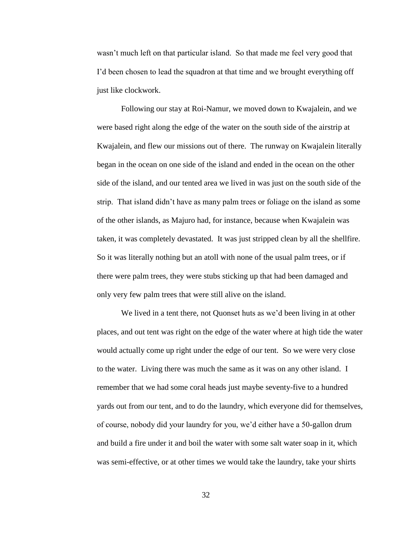wasn't much left on that particular island. So that made me feel very good that I'd been chosen to lead the squadron at that time and we brought everything off just like clockwork.

Following our stay at Roi-Namur, we moved down to Kwajalein, and we were based right along the edge of the water on the south side of the airstrip at Kwajalein, and flew our missions out of there. The runway on Kwajalein literally began in the ocean on one side of the island and ended in the ocean on the other side of the island, and our tented area we lived in was just on the south side of the strip. That island didn't have as many palm trees or foliage on the island as some of the other islands, as Majuro had, for instance, because when Kwajalein was taken, it was completely devastated. It was just stripped clean by all the shellfire. So it was literally nothing but an atoll with none of the usual palm trees, or if there were palm trees, they were stubs sticking up that had been damaged and only very few palm trees that were still alive on the island.

We lived in a tent there, not Quonset huts as we'd been living in at other places, and out tent was right on the edge of the water where at high tide the water would actually come up right under the edge of our tent. So we were very close to the water. Living there was much the same as it was on any other island. I remember that we had some coral heads just maybe seventy-five to a hundred yards out from our tent, and to do the laundry, which everyone did for themselves, of course, nobody did your laundry for you, we'd either have a 50-gallon drum and build a fire under it and boil the water with some salt water soap in it, which was semi-effective, or at other times we would take the laundry, take your shirts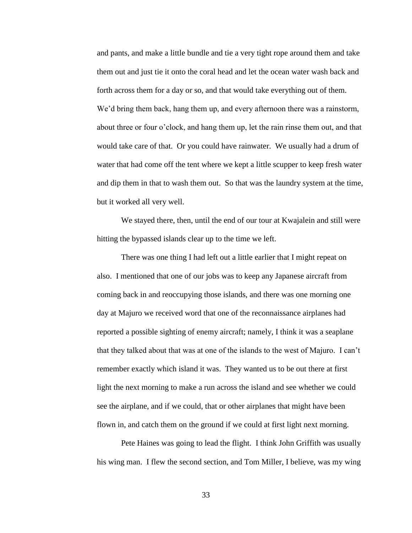and pants, and make a little bundle and tie a very tight rope around them and take them out and just tie it onto the coral head and let the ocean water wash back and forth across them for a day or so, and that would take everything out of them. We'd bring them back, hang them up, and every afternoon there was a rainstorm, about three or four o'clock, and hang them up, let the rain rinse them out, and that would take care of that. Or you could have rainwater. We usually had a drum of water that had come off the tent where we kept a little scupper to keep fresh water and dip them in that to wash them out. So that was the laundry system at the time, but it worked all very well.

We stayed there, then, until the end of our tour at Kwajalein and still were hitting the bypassed islands clear up to the time we left.

There was one thing I had left out a little earlier that I might repeat on also. I mentioned that one of our jobs was to keep any Japanese aircraft from coming back in and reoccupying those islands, and there was one morning one day at Majuro we received word that one of the reconnaissance airplanes had reported a possible sighting of enemy aircraft; namely, I think it was a seaplane that they talked about that was at one of the islands to the west of Majuro. I can't remember exactly which island it was. They wanted us to be out there at first light the next morning to make a run across the island and see whether we could see the airplane, and if we could, that or other airplanes that might have been flown in, and catch them on the ground if we could at first light next morning.

Pete Haines was going to lead the flight. I think John Griffith was usually his wing man. I flew the second section, and Tom Miller, I believe, was my wing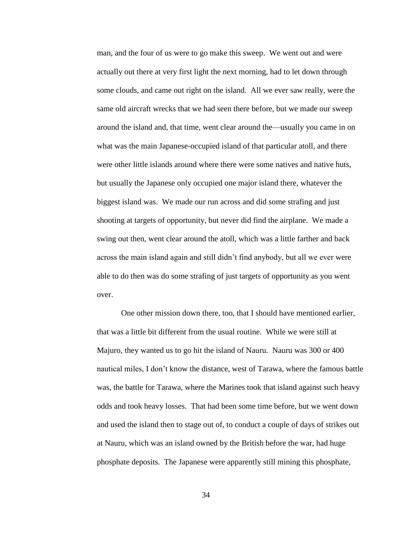man, and the four of us were to go make this sweep. We went out and were actually out there at very first light the next morning, had to let down through some clouds, and came out right on the island. All we ever saw really, were the same old aircraft wrecks that we had seen there before, but we made our sweep around the island and, that time, went clear around the—usually you came in on what was the main Japanese-occupied island of that particular atoll, and there were other little islands around where there were some natives and native huts, but usually the Japanese only occupied one major island there, whatever the biggest island was. We made our run across and did some strafing and just shooting at targets of opportunity, but never did find the airplane. We made a swing out then, went clear around the atoll, which was a little farther and back across the main island again and still didn't find anybody, but all we ever were able to do then was do some strafing of just targets of opportunity as you went over.

One other mission down there, too, that I should have mentioned earlier, that was a little bit different from the usual routine. While we were still at Majuro, they wanted us to go hit the island of Nauru. Nauru was 300 or 400 nautical miles, I don't know the distance, west of Tarawa, where the famous battle was, the battle for Tarawa, where the Marines took that island against such heavy odds and took heavy losses. That had been some time before, but we went down and used the island then to stage out of, to conduct a couple of days of strikes out at Nauru, which was an island owned by the British before the war, had huge phosphate deposits. The Japanese were apparently still mining this phosphate,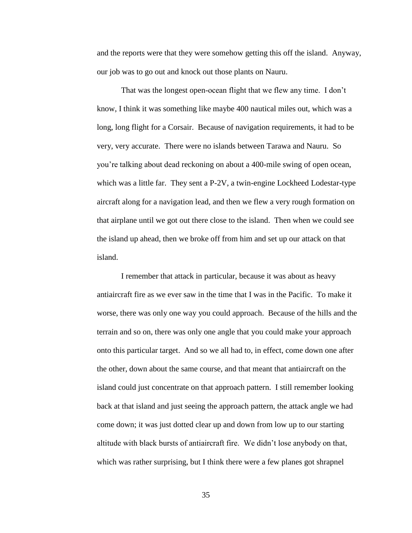and the reports were that they were somehow getting this off the island. Anyway, our job was to go out and knock out those plants on Nauru.

That was the longest open-ocean flight that we flew any time. I don't know, I think it was something like maybe 400 nautical miles out, which was a long, long flight for a Corsair. Because of navigation requirements, it had to be very, very accurate. There were no islands between Tarawa and Nauru. So you're talking about dead reckoning on about a 400-mile swing of open ocean, which was a little far. They sent a P-2V, a twin-engine Lockheed Lodestar-type aircraft along for a navigation lead, and then we flew a very rough formation on that airplane until we got out there close to the island. Then when we could see the island up ahead, then we broke off from him and set up our attack on that island.

I remember that attack in particular, because it was about as heavy antiaircraft fire as we ever saw in the time that I was in the Pacific. To make it worse, there was only one way you could approach. Because of the hills and the terrain and so on, there was only one angle that you could make your approach onto this particular target. And so we all had to, in effect, come down one after the other, down about the same course, and that meant that antiaircraft on the island could just concentrate on that approach pattern. I still remember looking back at that island and just seeing the approach pattern, the attack angle we had come down; it was just dotted clear up and down from low up to our starting altitude with black bursts of antiaircraft fire. We didn't lose anybody on that, which was rather surprising, but I think there were a few planes got shrapnel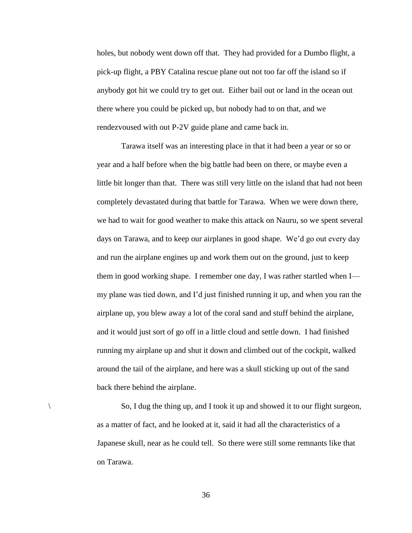holes, but nobody went down off that. They had provided for a Dumbo flight, a pick-up flight, a PBY Catalina rescue plane out not too far off the island so if anybody got hit we could try to get out. Either bail out or land in the ocean out there where you could be picked up, but nobody had to on that, and we rendezvoused with out P-2V guide plane and came back in.

Tarawa itself was an interesting place in that it had been a year or so or year and a half before when the big battle had been on there, or maybe even a little bit longer than that. There was still very little on the island that had not been completely devastated during that battle for Tarawa. When we were down there, we had to wait for good weather to make this attack on Nauru, so we spent several days on Tarawa, and to keep our airplanes in good shape. We'd go out every day and run the airplane engines up and work them out on the ground, just to keep them in good working shape. I remember one day, I was rather startled when I my plane was tied down, and I'd just finished running it up, and when you ran the airplane up, you blew away a lot of the coral sand and stuff behind the airplane, and it would just sort of go off in a little cloud and settle down. I had finished running my airplane up and shut it down and climbed out of the cockpit, walked around the tail of the airplane, and here was a skull sticking up out of the sand back there behind the airplane.

\ So, I dug the thing up, and I took it up and showed it to our flight surgeon, as a matter of fact, and he looked at it, said it had all the characteristics of a Japanese skull, near as he could tell. So there were still some remnants like that on Tarawa.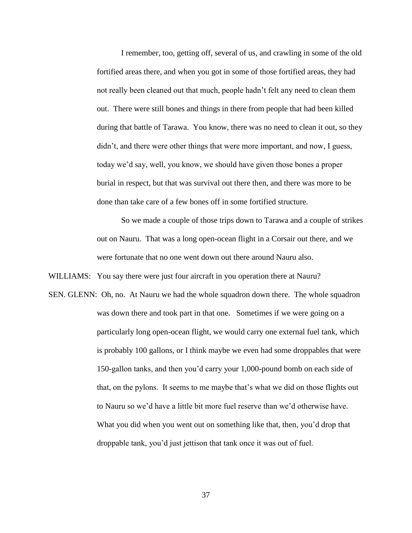I remember, too, getting off, several of us, and crawling in some of the old fortified areas there, and when you got in some of those fortified areas, they had not really been cleaned out that much, people hadn't felt any need to clean them out. There were still bones and things in there from people that had been killed during that battle of Tarawa. You know, there was no need to clean it out, so they didn't, and there were other things that were more important, and now, I guess, today we'd say, well, you know, we should have given those bones a proper burial in respect, but that was survival out there then, and there was more to be done than take care of a few bones off in some fortified structure.

So we made a couple of those trips down to Tarawa and a couple of strikes out on Nauru. That was a long open-ocean flight in a Corsair out there, and we were fortunate that no one went down out there around Nauru also.

WILLIAMS: You say there were just four aircraft in you operation there at Nauru?

SEN. GLENN: Oh, no. At Nauru we had the whole squadron down there. The whole squadron was down there and took part in that one. Sometimes if we were going on a particularly long open-ocean flight, we would carry one external fuel tank, which is probably 100 gallons, or I think maybe we even had some droppables that were 150-gallon tanks, and then you'd carry your 1,000-pound bomb on each side of that, on the pylons. It seems to me maybe that's what we did on those flights out to Nauru so we'd have a little bit more fuel reserve than we'd otherwise have. What you did when you went out on something like that, then, you'd drop that droppable tank, you'd just jettison that tank once it was out of fuel.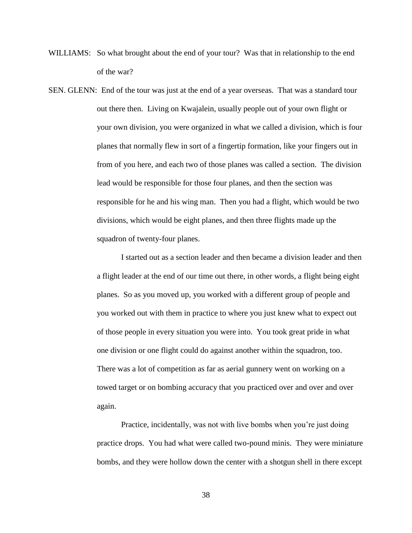- WILLIAMS: So what brought about the end of your tour? Was that in relationship to the end of the war?
- SEN. GLENN: End of the tour was just at the end of a year overseas. That was a standard tour out there then. Living on Kwajalein, usually people out of your own flight or your own division, you were organized in what we called a division, which is four planes that normally flew in sort of a fingertip formation, like your fingers out in from of you here, and each two of those planes was called a section. The division lead would be responsible for those four planes, and then the section was responsible for he and his wing man. Then you had a flight, which would be two divisions, which would be eight planes, and then three flights made up the squadron of twenty-four planes.

I started out as a section leader and then became a division leader and then a flight leader at the end of our time out there, in other words, a flight being eight planes. So as you moved up, you worked with a different group of people and you worked out with them in practice to where you just knew what to expect out of those people in every situation you were into. You took great pride in what one division or one flight could do against another within the squadron, too. There was a lot of competition as far as aerial gunnery went on working on a towed target or on bombing accuracy that you practiced over and over and over again.

Practice, incidentally, was not with live bombs when you're just doing practice drops. You had what were called two-pound minis. They were miniature bombs, and they were hollow down the center with a shotgun shell in there except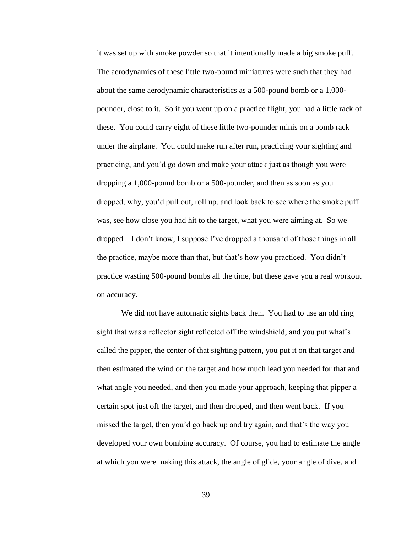it was set up with smoke powder so that it intentionally made a big smoke puff. The aerodynamics of these little two-pound miniatures were such that they had about the same aerodynamic characteristics as a 500-pound bomb or a 1,000 pounder, close to it. So if you went up on a practice flight, you had a little rack of these. You could carry eight of these little two-pounder minis on a bomb rack under the airplane. You could make run after run, practicing your sighting and practicing, and you'd go down and make your attack just as though you were dropping a 1,000-pound bomb or a 500-pounder, and then as soon as you dropped, why, you'd pull out, roll up, and look back to see where the smoke puff was, see how close you had hit to the target, what you were aiming at. So we dropped—I don't know, I suppose I've dropped a thousand of those things in all the practice, maybe more than that, but that's how you practiced. You didn't practice wasting 500-pound bombs all the time, but these gave you a real workout on accuracy.

We did not have automatic sights back then. You had to use an old ring sight that was a reflector sight reflected off the windshield, and you put what's called the pipper, the center of that sighting pattern, you put it on that target and then estimated the wind on the target and how much lead you needed for that and what angle you needed, and then you made your approach, keeping that pipper a certain spot just off the target, and then dropped, and then went back. If you missed the target, then you'd go back up and try again, and that's the way you developed your own bombing accuracy. Of course, you had to estimate the angle at which you were making this attack, the angle of glide, your angle of dive, and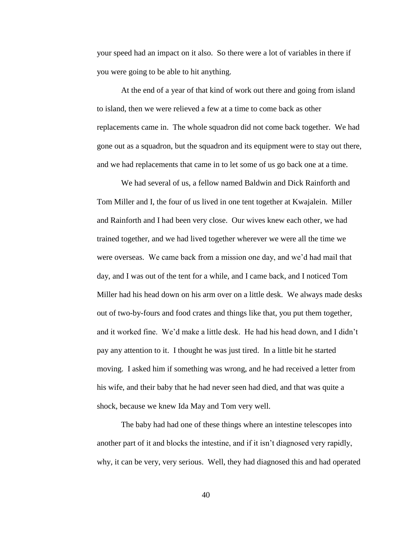your speed had an impact on it also. So there were a lot of variables in there if you were going to be able to hit anything.

At the end of a year of that kind of work out there and going from island to island, then we were relieved a few at a time to come back as other replacements came in. The whole squadron did not come back together. We had gone out as a squadron, but the squadron and its equipment were to stay out there, and we had replacements that came in to let some of us go back one at a time.

We had several of us, a fellow named Baldwin and Dick Rainforth and Tom Miller and I, the four of us lived in one tent together at Kwajalein. Miller and Rainforth and I had been very close. Our wives knew each other, we had trained together, and we had lived together wherever we were all the time we were overseas. We came back from a mission one day, and we'd had mail that day, and I was out of the tent for a while, and I came back, and I noticed Tom Miller had his head down on his arm over on a little desk. We always made desks out of two-by-fours and food crates and things like that, you put them together, and it worked fine. We'd make a little desk. He had his head down, and I didn't pay any attention to it. I thought he was just tired. In a little bit he started moving. I asked him if something was wrong, and he had received a letter from his wife, and their baby that he had never seen had died, and that was quite a shock, because we knew Ida May and Tom very well.

The baby had had one of these things where an intestine telescopes into another part of it and blocks the intestine, and if it isn't diagnosed very rapidly, why, it can be very, very serious. Well, they had diagnosed this and had operated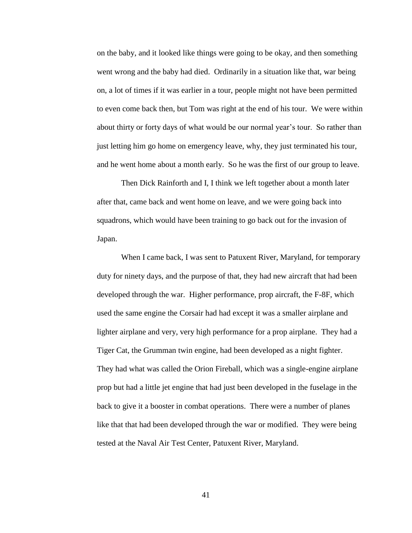on the baby, and it looked like things were going to be okay, and then something went wrong and the baby had died. Ordinarily in a situation like that, war being on, a lot of times if it was earlier in a tour, people might not have been permitted to even come back then, but Tom was right at the end of his tour. We were within about thirty or forty days of what would be our normal year's tour. So rather than just letting him go home on emergency leave, why, they just terminated his tour, and he went home about a month early. So he was the first of our group to leave.

Then Dick Rainforth and I, I think we left together about a month later after that, came back and went home on leave, and we were going back into squadrons, which would have been training to go back out for the invasion of Japan.

When I came back, I was sent to Patuxent River, Maryland, for temporary duty for ninety days, and the purpose of that, they had new aircraft that had been developed through the war. Higher performance, prop aircraft, the F-8F, which used the same engine the Corsair had had except it was a smaller airplane and lighter airplane and very, very high performance for a prop airplane. They had a Tiger Cat, the Grumman twin engine, had been developed as a night fighter. They had what was called the Orion Fireball, which was a single-engine airplane prop but had a little jet engine that had just been developed in the fuselage in the back to give it a booster in combat operations. There were a number of planes like that that had been developed through the war or modified. They were being tested at the Naval Air Test Center, Patuxent River, Maryland.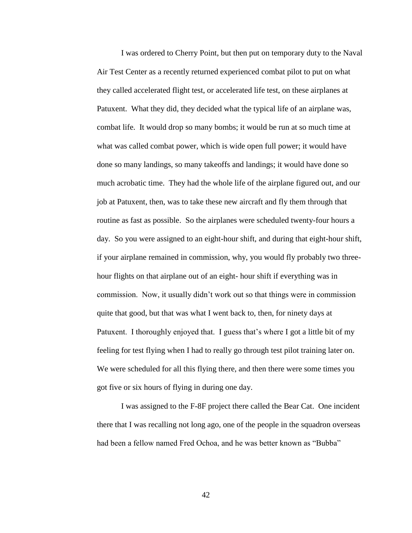I was ordered to Cherry Point, but then put on temporary duty to the Naval Air Test Center as a recently returned experienced combat pilot to put on what they called accelerated flight test, or accelerated life test, on these airplanes at Patuxent. What they did, they decided what the typical life of an airplane was, combat life. It would drop so many bombs; it would be run at so much time at what was called combat power, which is wide open full power; it would have done so many landings, so many takeoffs and landings; it would have done so much acrobatic time. They had the whole life of the airplane figured out, and our job at Patuxent, then, was to take these new aircraft and fly them through that routine as fast as possible. So the airplanes were scheduled twenty-four hours a day. So you were assigned to an eight-hour shift, and during that eight-hour shift, if your airplane remained in commission, why, you would fly probably two threehour flights on that airplane out of an eight- hour shift if everything was in commission. Now, it usually didn't work out so that things were in commission quite that good, but that was what I went back to, then, for ninety days at Patuxent. I thoroughly enjoyed that. I guess that's where I got a little bit of my feeling for test flying when I had to really go through test pilot training later on. We were scheduled for all this flying there, and then there were some times you got five or six hours of flying in during one day.

I was assigned to the F-8F project there called the Bear Cat. One incident there that I was recalling not long ago, one of the people in the squadron overseas had been a fellow named Fred Ochoa, and he was better known as "Bubba"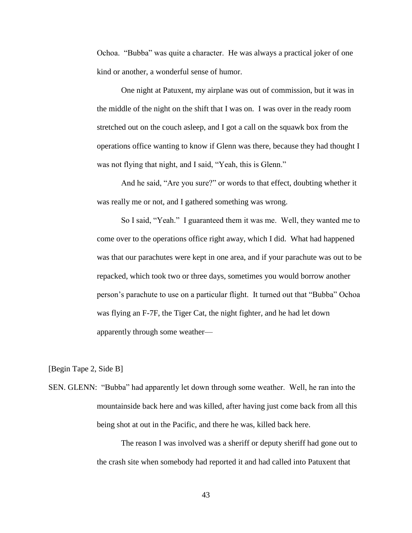Ochoa. "Bubba" was quite a character. He was always a practical joker of one kind or another, a wonderful sense of humor.

One night at Patuxent, my airplane was out of commission, but it was in the middle of the night on the shift that I was on. I was over in the ready room stretched out on the couch asleep, and I got a call on the squawk box from the operations office wanting to know if Glenn was there, because they had thought I was not flying that night, and I said, "Yeah, this is Glenn."

And he said, "Are you sure?" or words to that effect, doubting whether it was really me or not, and I gathered something was wrong.

So I said, "Yeah." I guaranteed them it was me. Well, they wanted me to come over to the operations office right away, which I did. What had happened was that our parachutes were kept in one area, and if your parachute was out to be repacked, which took two or three days, sometimes you would borrow another person's parachute to use on a particular flight. It turned out that "Bubba" Ochoa was flying an F-7F, the Tiger Cat, the night fighter, and he had let down apparently through some weather—

[Begin Tape 2, Side B]

SEN. GLENN: "Bubba" had apparently let down through some weather. Well, he ran into the mountainside back here and was killed, after having just come back from all this being shot at out in the Pacific, and there he was, killed back here.

> The reason I was involved was a sheriff or deputy sheriff had gone out to the crash site when somebody had reported it and had called into Patuxent that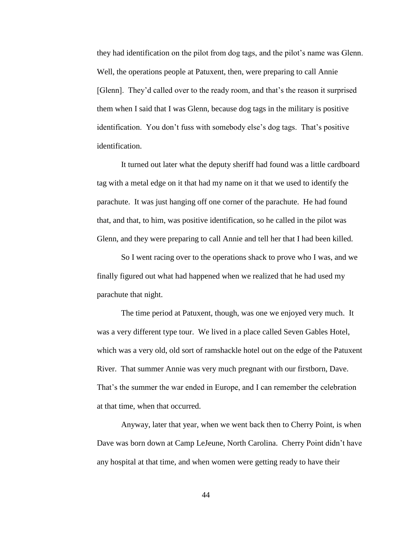they had identification on the pilot from dog tags, and the pilot's name was Glenn. Well, the operations people at Patuxent, then, were preparing to call Annie [Glenn]. They'd called over to the ready room, and that's the reason it surprised them when I said that I was Glenn, because dog tags in the military is positive identification. You don't fuss with somebody else's dog tags. That's positive identification.

It turned out later what the deputy sheriff had found was a little cardboard tag with a metal edge on it that had my name on it that we used to identify the parachute. It was just hanging off one corner of the parachute. He had found that, and that, to him, was positive identification, so he called in the pilot was Glenn, and they were preparing to call Annie and tell her that I had been killed.

So I went racing over to the operations shack to prove who I was, and we finally figured out what had happened when we realized that he had used my parachute that night.

The time period at Patuxent, though, was one we enjoyed very much. It was a very different type tour. We lived in a place called Seven Gables Hotel, which was a very old, old sort of ramshackle hotel out on the edge of the Patuxent River. That summer Annie was very much pregnant with our firstborn, Dave. That's the summer the war ended in Europe, and I can remember the celebration at that time, when that occurred.

Anyway, later that year, when we went back then to Cherry Point, is when Dave was born down at Camp LeJeune, North Carolina. Cherry Point didn't have any hospital at that time, and when women were getting ready to have their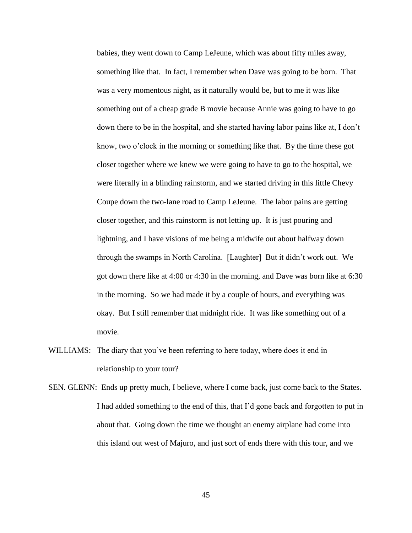babies, they went down to Camp LeJeune, which was about fifty miles away, something like that. In fact, I remember when Dave was going to be born. That was a very momentous night, as it naturally would be, but to me it was like something out of a cheap grade B movie because Annie was going to have to go down there to be in the hospital, and she started having labor pains like at, I don't know, two o'clock in the morning or something like that. By the time these got closer together where we knew we were going to have to go to the hospital, we were literally in a blinding rainstorm, and we started driving in this little Chevy Coupe down the two-lane road to Camp LeJeune. The labor pains are getting closer together, and this rainstorm is not letting up. It is just pouring and lightning, and I have visions of me being a midwife out about halfway down through the swamps in North Carolina. [Laughter] But it didn't work out. We got down there like at 4:00 or 4:30 in the morning, and Dave was born like at 6:30 in the morning. So we had made it by a couple of hours, and everything was okay. But I still remember that midnight ride. It was like something out of a movie.

- WILLIAMS: The diary that you've been referring to here today, where does it end in relationship to your tour?
- SEN. GLENN: Ends up pretty much, I believe, where I come back, just come back to the States. I had added something to the end of this, that I'd gone back and forgotten to put in about that. Going down the time we thought an enemy airplane had come into this island out west of Majuro, and just sort of ends there with this tour, and we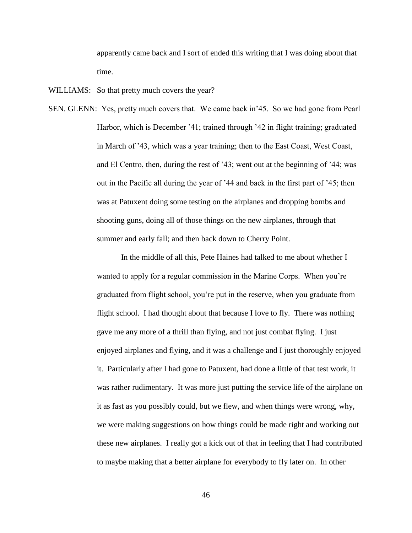apparently came back and I sort of ended this writing that I was doing about that time.

WILLIAMS: So that pretty much covers the year?

SEN. GLENN: Yes, pretty much covers that. We came back in'45. So we had gone from Pearl Harbor, which is December '41; trained through '42 in flight training; graduated in March of '43, which was a year training; then to the East Coast, West Coast, and El Centro, then, during the rest of '43; went out at the beginning of '44; was out in the Pacific all during the year of '44 and back in the first part of '45; then was at Patuxent doing some testing on the airplanes and dropping bombs and shooting guns, doing all of those things on the new airplanes, through that summer and early fall; and then back down to Cherry Point.

> In the middle of all this, Pete Haines had talked to me about whether I wanted to apply for a regular commission in the Marine Corps. When you're graduated from flight school, you're put in the reserve, when you graduate from flight school. I had thought about that because I love to fly. There was nothing gave me any more of a thrill than flying, and not just combat flying. I just enjoyed airplanes and flying, and it was a challenge and I just thoroughly enjoyed it. Particularly after I had gone to Patuxent, had done a little of that test work, it was rather rudimentary. It was more just putting the service life of the airplane on it as fast as you possibly could, but we flew, and when things were wrong, why, we were making suggestions on how things could be made right and working out these new airplanes. I really got a kick out of that in feeling that I had contributed to maybe making that a better airplane for everybody to fly later on. In other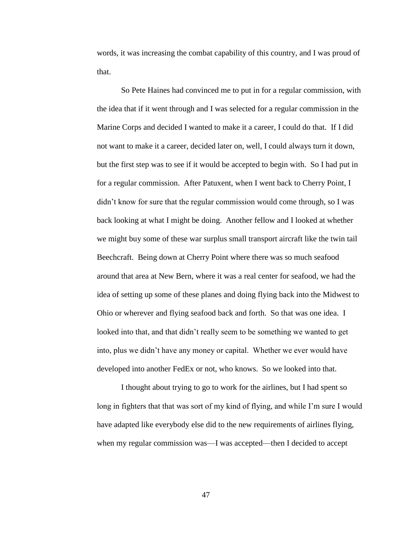words, it was increasing the combat capability of this country, and I was proud of that.

So Pete Haines had convinced me to put in for a regular commission, with the idea that if it went through and I was selected for a regular commission in the Marine Corps and decided I wanted to make it a career, I could do that. If I did not want to make it a career, decided later on, well, I could always turn it down, but the first step was to see if it would be accepted to begin with. So I had put in for a regular commission. After Patuxent, when I went back to Cherry Point, I didn't know for sure that the regular commission would come through, so I was back looking at what I might be doing. Another fellow and I looked at whether we might buy some of these war surplus small transport aircraft like the twin tail Beechcraft. Being down at Cherry Point where there was so much seafood around that area at New Bern, where it was a real center for seafood, we had the idea of setting up some of these planes and doing flying back into the Midwest to Ohio or wherever and flying seafood back and forth. So that was one idea. I looked into that, and that didn't really seem to be something we wanted to get into, plus we didn't have any money or capital. Whether we ever would have developed into another FedEx or not, who knows. So we looked into that.

I thought about trying to go to work for the airlines, but I had spent so long in fighters that that was sort of my kind of flying, and while I'm sure I would have adapted like everybody else did to the new requirements of airlines flying, when my regular commission was—I was accepted—then I decided to accept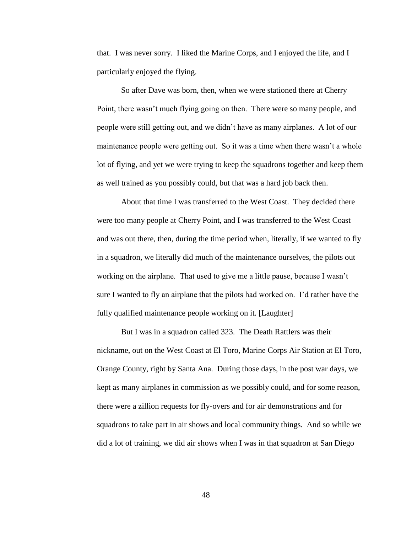that. I was never sorry. I liked the Marine Corps, and I enjoyed the life, and I particularly enjoyed the flying.

So after Dave was born, then, when we were stationed there at Cherry Point, there wasn't much flying going on then. There were so many people, and people were still getting out, and we didn't have as many airplanes. A lot of our maintenance people were getting out. So it was a time when there wasn't a whole lot of flying, and yet we were trying to keep the squadrons together and keep them as well trained as you possibly could, but that was a hard job back then.

About that time I was transferred to the West Coast. They decided there were too many people at Cherry Point, and I was transferred to the West Coast and was out there, then, during the time period when, literally, if we wanted to fly in a squadron, we literally did much of the maintenance ourselves, the pilots out working on the airplane. That used to give me a little pause, because I wasn't sure I wanted to fly an airplane that the pilots had worked on. I'd rather have the fully qualified maintenance people working on it. [Laughter]

But I was in a squadron called 323. The Death Rattlers was their nickname, out on the West Coast at El Toro, Marine Corps Air Station at El Toro, Orange County, right by Santa Ana. During those days, in the post war days, we kept as many airplanes in commission as we possibly could, and for some reason, there were a zillion requests for fly-overs and for air demonstrations and for squadrons to take part in air shows and local community things. And so while we did a lot of training, we did air shows when I was in that squadron at San Diego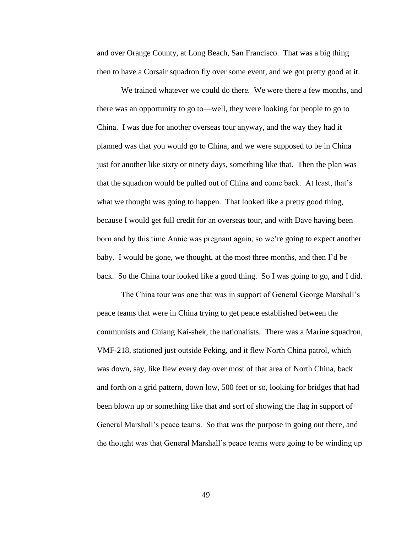and over Orange County, at Long Beach, San Francisco. That was a big thing then to have a Corsair squadron fly over some event, and we got pretty good at it.

We trained whatever we could do there. We were there a few months, and there was an opportunity to go to—well, they were looking for people to go to China. I was due for another overseas tour anyway, and the way they had it planned was that you would go to China, and we were supposed to be in China just for another like sixty or ninety days, something like that. Then the plan was that the squadron would be pulled out of China and come back. At least, that's what we thought was going to happen. That looked like a pretty good thing, because I would get full credit for an overseas tour, and with Dave having been born and by this time Annie was pregnant again, so we're going to expect another baby. I would be gone, we thought, at the most three months, and then I'd be back. So the China tour looked like a good thing. So I was going to go, and I did.

The China tour was one that was in support of General George Marshall's peace teams that were in China trying to get peace established between the communists and Chiang Kai-shek, the nationalists. There was a Marine squadron, VMF-218, stationed just outside Peking, and it flew North China patrol, which was down, say, like flew every day over most of that area of North China, back and forth on a grid pattern, down low, 500 feet or so, looking for bridges that had been blown up or something like that and sort of showing the flag in support of General Marshall's peace teams. So that was the purpose in going out there, and the thought was that General Marshall's peace teams were going to be winding up